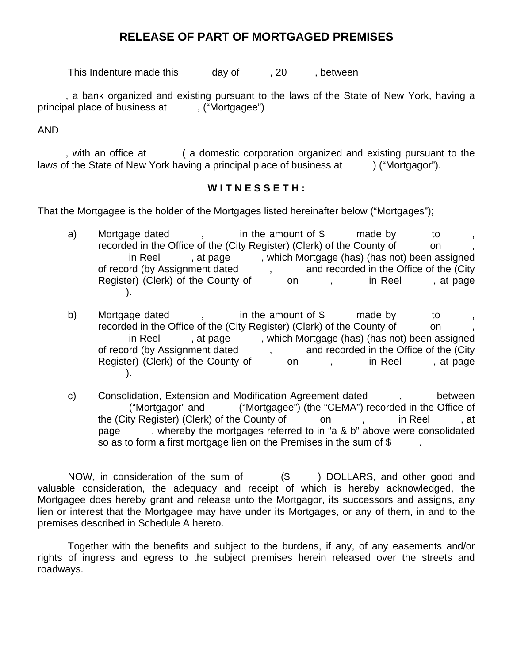## **RELEASE OF PART OF MORTGAGED PREMISES**

This Indenture made this day of , 20, between

, a bank organized and existing pursuant to the laws of the State of New York, having a principal place of business at , ("Mortgagee")

AND

, with an office at ( a domestic corporation organized and existing pursuant to the laws of the State of New York having a principal place of business at  $\qquad$  ("Mortgagor").

## **W I T N E S S E T H :**

That the Mortgagee is the holder of the Mortgages listed hereinafter below ("Mortgages");

- a) Mortgage dated , in the amount of \$ made by to recorded in the Office of the (City Register) (Clerk) of the County of on in Reel , at page , which Mortgage (has) (has not) been assigned of record (by Assignment dated , and recorded in the Office of the (City Register) (Clerk) of the County of on , in Reel , at page ).
- b) Mortgage dated , in the amount of \$made by to , recorded in the Office of the (City Register) (Clerk) of the County of on in Reel , at page , which Mortgage (has) (has not) been assigned of record (by Assignment dated , and recorded in the Office of the (City Register) (Clerk) of the County of on , in Reel , at page ).
- c) Consolidation, Extension and Modification Agreement dated , between ("Mortgagor" and ("Mortgagee") (the "CEMA") recorded in the Office of the (City Register) (Clerk) of the County of on , in Reel , at page , whereby the mortgages referred to in "a & b" above were consolidated so as to form a first mortgage lien on the Premises in the sum of \$.

 NOW, in consideration of the sum of (\$) DOLLARS, and other good and valuable consideration, the adequacy and receipt of which is hereby acknowledged, the Mortgagee does hereby grant and release unto the Mortgagor, its successors and assigns, any lien or interest that the Mortgagee may have under its Mortgages, or any of them, in and to the premises described in Schedule A hereto.

 Together with the benefits and subject to the burdens, if any, of any easements and/or rights of ingress and egress to the subject premises herein released over the streets and roadways.